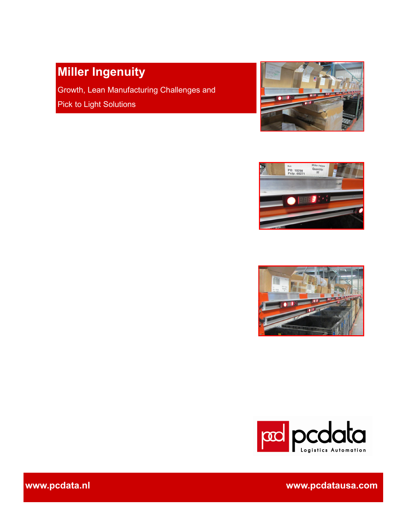# **Miller Ingenuity**

Growth, Lean Manufacturing Challenges and Pick to Light Solutions









**www.pcdata.nl www.pcdatausa.com**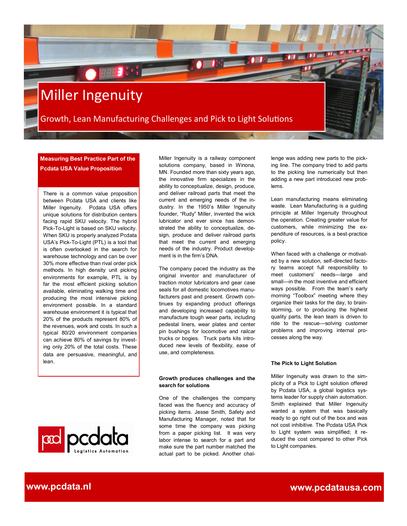

**Measuring Best Practice Part of the Pcdata USA Value Proposition**

There is a common value proposition between Pcdata USA and clients like Miller Ingenuity. Pcdata USA offers unique solutions for distribution centers facing rapid SKU velocity. The hybrid Pick-To-Light is based on SKU velocity. When SKU is properly analyzed Pcdata USA's Pick-To-Light (PTL) is a tool that is often overlooked in the search for warehouse technology and can be over 30% more effective than rival order pick methods. In high density unit picking environments for example, PTL is by far the most efficient picking solution available, eliminating walking time and producing the most intensive picking environment possible. In a standard warehouse environment it is typical that 20% of the products represent 80% of the revenues, work and costs. In such a typical 80/20 environment companies can achieve 80% of savings by investing only 20% of the total costs. These data are persuasive, meaningful, and lean.

Miller Ingenuity is a railway component solutions company, based in Winona, MN. Founded more than sixty years ago, the innovative firm specializes in the ability to conceptualize, design, produce, and deliver railroad parts that meet the current and emerging needs of the industry. In the 1950's Miller Ingenuity founder, "Rudy" Miller, invented the wick lubricator and ever since has demonstrated the ability to conceptualize, design, produce and deliver railroad parts that meet the current and emerging needs of the industry. Product development is in the firm's DNA.

The company paced the industry as the original inventor and manufacturer of traction motor lubricators and gear case seals for all domestic locomotives manufacturers past and present. Growth continues by expanding product offerings and developing increased capability to manufacture tough wear parts, including pedestal liners, wear plates and center pin bushings for locomotive and railcar trucks or bogies. Truck parts kits introduced new levels of flexibility, ease of use, and completeness.

### **Growth produces challenges and the search for solutions**

One of the challenges the company faced was the fluency and accuracy of picking items. Jesse Smith, Safety and Manufacturing Manager, noted that for some time the company was picking from a paper picking list. It was very labor intense to search for a part and make sure the part number matched the actual part to be picked. Another chal-

lenge was adding new parts to the picking line. The company tried to add parts to the picking line numerically but then adding a new part introduced new problems.

Lean manufacturing means eliminating waste. Lean Manufacturing is a guiding principle at Miller Ingenuity throughout the operation. Creating greater value for customers, while minimizing the expenditure of resources, is a best-practice policy.

When faced with a challenge or motivated by a new solution, self-directed factory teams accept full responsibility to meet customers' needs—large and small—in the most inventive and efficient ways possible. From the team's early morning "Toolbox" meeting where they organize their tasks for the day, to brainstorming, or to producing the highest quality parts, the lean team is driven to ride to the rescue—solving customer problems and improving internal processes along the way.

### **The Pick to Light Solution**

Miller Ingenuity was drawn to the simplicity of a Pick to Light solution offered by Pcdata USA, a global logistics systems leader for supply chain automation. Smith explained that Miller Ingenuity wanted a system that was basically ready to go right out of the box and was not cost inhibitive. The Pcdata USA Pick to Light system was simplified; it reduced the cost compared to other Pick to Light companies.

pcdata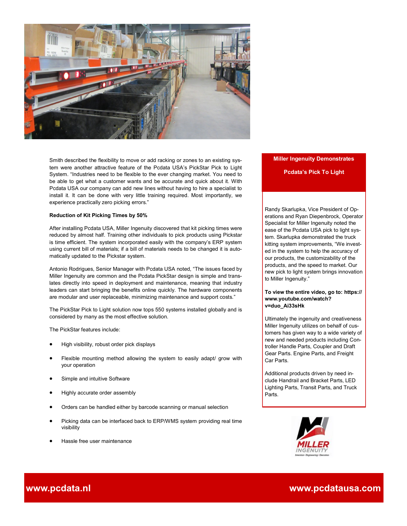

Smith described the flexibility to move or add racking or zones to an existing system were another attractive feature of the Pcdata USA's PickStar Pick to Light System. "Industries need to be flexible to the ever changing market. You need to be able to get what a customer wants and be accurate and quick about it. With Pcdata USA our company can add new lines without having to hire a specialist to install it. It can be done with very little training required. Most importantly, we experience practically zero picking errors."

### **Reduction of Kit Picking Times by 50%**

After installing Pcdata USA, Miller Ingenuity discovered that kit picking times were reduced by almost half. Training other individuals to pick products using Pickstar is time efficient. The system incorporated easily with the company's ERP system using current bill of materials; if a bill of materials needs to be changed it is automatically updated to the Pickstar system.

Antonio Rodrigues, Senior Manager with Pcdata USA noted, "The issues faced by Miller Ingenuity are common and the Pcdata PickStar design is simple and translates directly into speed in deployment and maintenance, meaning that industry leaders can start bringing the benefits online quickly. The hardware components are modular and user replaceable, minimizing maintenance and support costs."

The PickStar Pick to Light solution now tops 550 systems installed globally and is considered by many as the most effective solution.

The PickStar features include:

- High visibility, robust order pick displays
- Flexible mounting method allowing the system to easily adapt/ grow with your operation
- Simple and intuitive Software
- Highly accurate order assembly
- Orders can be handled either by barcode scanning or manual selection
- Picking data can be interfaced back to ERP/WMS system providing real time visibility
- Hassle free user maintenance

## **Miller Ingenuity Demonstrates**

## **Pcdata's Pick To Light**

Randy Skarlupka, Vice President of Operations and Ryan Diepenbrock, Operator Specialist for Miller Ingenuity noted the ease of the Pcdata USA pick to light system. Skarlupka demonstrated the truck kitting system improvements, "We invested in the system to help the accuracy of our products, the customizability of the products, and the speed to market. Our new pick to light system brings innovation to Miller Ingenuity."

## **To view the entire video, go to: https:// www.youtube.com/watch? v=duo\_Ai33sHk**

Ultimately the ingenuity and creativeness Miller Ingenuity utilizes on behalf of customers has given way to a wide variety of new and needed products including Controller Handle Parts, Coupler and Draft Gear Parts. Engine Parts, and Freight Car Parts.

Additional products driven by need include Handrail and Bracket Parts, LED Lighting Parts, Transit Parts, and Truck Parts.